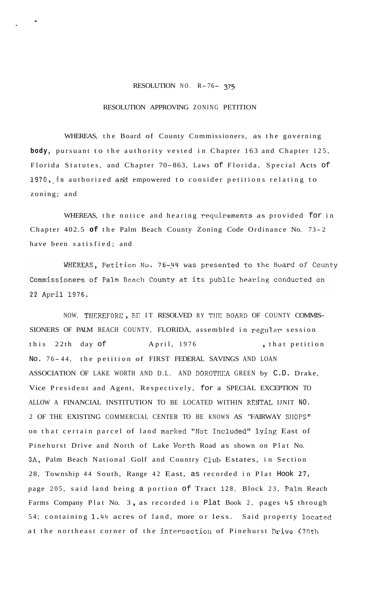## RESOLUTION NO. R- 76- *<sup>375</sup>*

## RESOLUTION APPROVING ZONING PETITION

WHEREAS, the Board of County Commissioners, as the governing **body,** pursuant to the authority vested in Chapter 163 and Chapter 125, Florida Statutes, and Chapter 70-863, Laws of Florida, Special Acts of 1970, is authorized and empowered to consider petitions relating to zoning; and

WHEREAS, the notice and hearing requirements as provided for in Chapter 402.5 of the Palm Beach County Zoning Code Ordinance No. 73-2 have been satisfied; and

WHEREAS, Petition No. 76-44 was presented to the Board of County Commissioners of Palm Beach County at its public hearing conducted on 22 April 1976.

NOW, THEREFORE, BE IT RESOLVED RY THE BOARD OF COUNTY COMMIS-SIONERS OF PALM REACH COUNTY, FLORIDA, assembled in regular session this 22th day of April, 1976 , that petition No. 76-44, the petition of FIRST FEDERAL SAVINGS AND LOAN ASSOCIATION OF LAKE WORTH AND D.L. AND DOROTIEA GREEN by C.D. Drake, Vice President and Agent, Respectively, for a SPECIAL EXCEPTION TO ALLOW A FINANCIAL INSTITUTION TO BE LOCATED WITHIN RENTAL IJNIT NO. 2 OF THE EXISTING COMMERCIAL CENTER TO BE KNOWN AS "FAIRWAY SHOPS" on that certain parcel of land marked "Not Tncluded" lying East of Pinehurst Drive and North of Lake Worth Road as shown on Plat No. 3A, Palm Beach National Golf and Country Club Estates, in Section 28, Township 44 South, Range 42 East, as recorded in Plat Hook **27,**  page 205, said land being a portion of Tract 128, Block 23, Palm Reach Farms Company Plat No. 3 , as recorded in Plat Book 2, pages 45 through 54; containing 1.44 acres of land, more or less. Said property located at the northeast corner of the intersection of Pinehurst Drive (70th